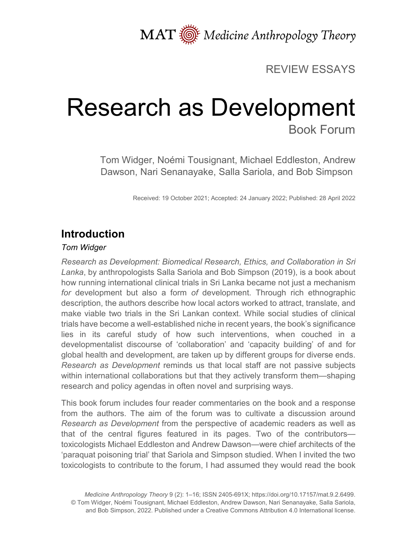MAT  $\overline{\text{M}}$  Medicine Anthropology Theory

### REVIEW ESSAYS

# Research as Development Book Forum

Tom Widger, Noémi Tousignant, Michael Eddleston, Andrew Dawson, Nari Senanayake, Salla Sariola, and Bob Simpson

Received: 19 October 2021; Accepted: 24 January 2022; Published: 28 April 2022

# **Introduction**

#### *Tom Widger*

*Research as Development: Biomedical Research, Ethics, and Collaboration in Sri Lanka*, by anthropologists Salla Sariola and Bob Simpson (2019), is a book about how running international clinical trials in Sri Lanka became not just a mechanism *for* development but also a form *of* development. Through rich ethnographic description, the authors describe how local actors worked to attract, translate, and make viable two trials in the Sri Lankan context. While social studies of clinical trials have become a well-established niche in recent years, the book's significance lies in its careful study of how such interventions, when couched in a developmentalist discourse of 'collaboration' and 'capacity building' of and for global health and development, are taken up by different groups for diverse ends. *Research as Development* reminds us that local staff are not passive subjects within international collaborations but that they actively transform them—shaping research and policy agendas in often novel and surprising ways.

This book forum includes four reader commentaries on the book and a response from the authors. The aim of the forum was to cultivate a discussion around *Research as Development* from the perspective of academic readers as well as that of the central figures featured in its pages. Two of the contributors toxicologists Michael Eddleston and Andrew Dawson—were chief architects of the 'paraquat poisoning trial' that Sariola and Simpson studied. When I invited the two toxicologists to contribute to the forum, I had assumed they would read the book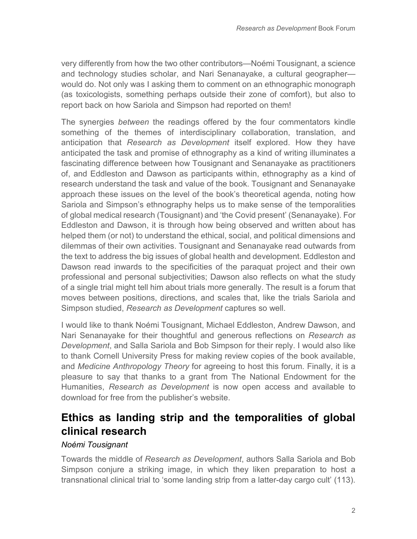very differently from how the two other contributors—Noémi Tousignant, a science and technology studies scholar, and Nari Senanayake, a cultural geographer would do. Not only was I asking them to comment on an ethnographic monograph (as toxicologists, something perhaps outside their zone of comfort), but also to report back on how Sariola and Simpson had reported on them!

The synergies *between* the readings offered by the four commentators kindle something of the themes of interdisciplinary collaboration, translation, and anticipation that *Research as Development* itself explored. How they have anticipated the task and promise of ethnography as a kind of writing illuminates a fascinating difference between how Tousignant and Senanayake as practitioners of, and Eddleston and Dawson as participants within, ethnography as a kind of research understand the task and value of the book. Tousignant and Senanayake approach these issues on the level of the book's theoretical agenda, noting how Sariola and Simpson's ethnography helps us to make sense of the temporalities of global medical research (Tousignant) and 'the Covid present' (Senanayake). For Eddleston and Dawson, it is through how being observed and written about has helped them (or not) to understand the ethical, social, and political dimensions and dilemmas of their own activities. Tousignant and Senanayake read outwards from the text to address the big issues of global health and development. Eddleston and Dawson read inwards to the specificities of the paraquat project and their own professional and personal subjectivities; Dawson also reflects on what the study of a single trial might tell him about trials more generally. The result is a forum that moves between positions, directions, and scales that, like the trials Sariola and Simpson studied, *Research as Development* captures so well.

I would like to thank Noémi Tousignant, Michael Eddleston, Andrew Dawson, and Nari Senanayake for their thoughtful and generous reflections on *Research as Development*, and Salla Sariola and Bob Simpson for their reply. I would also like to thank Cornell University Press for making review copies of the book available, and *Medicine Anthropology Theory* for agreeing to host this forum. Finally, it is a pleasure to say that thanks to a grant from The National Endowment for the Humanities, *Research as Development* is now open access and available to download for free from the publisher's website.

## **Ethics as landing strip and the temporalities of global clinical research**

### *Noémi Tousignant*

Towards the middle of *Research as Development*, authors Salla Sariola and Bob Simpson conjure a striking image, in which they liken preparation to host a transnational clinical trial to 'some landing strip from a latter-day cargo cult' (113).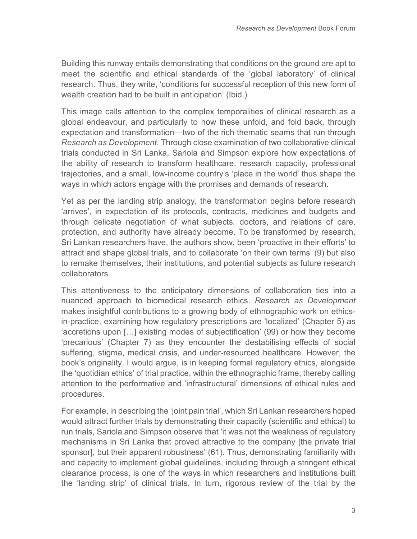Building this runway entails demonstrating that conditions on the ground are apt to meet the scientific and ethical standards of the 'global laboratory' of clinical research. Thus, they write, 'conditions for successful reception of this new form of wealth creation had to be built in anticipation' (Ibid.)

This image calls attention to the complex temporalities of clinical research as a global endeavour, and particularly to how these unfold, and fold back, through expectation and transformation—two of the rich thematic seams that run through *Research as Development*. Through close examination of two collaborative clinical trials conducted in Sri Lanka, Sariola and Simpson explore how expectations of the ability of research to transform healthcare, research capacity, professional trajectories, and a small, low-income country's 'place in the world' thus shape the ways in which actors engage with the promises and demands of research.

Yet as per the landing strip analogy, the transformation begins before research 'arrives', in expectation of its protocols, contracts, medicines and budgets and through delicate negotiation of what subjects, doctors, and relations of care, protection, and authority have already become. To be transformed by research, Sri Lankan researchers have, the authors show, been 'proactive in their efforts' to attract and shape global trials, and to collaborate 'on their own terms' (9) but also to remake themselves, their institutions, and potential subjects as future research collaborators.

This attentiveness to the anticipatory dimensions of collaboration ties into a nuanced approach to biomedical research ethics. *Research as Development* makes insightful contributions to a growing body of ethnographic work on ethicsin-practice, examining how regulatory prescriptions are 'localized' (Chapter 5) as 'accretions upon […] existing modes of subjectification' (99) or how they become 'precarious' (Chapter 7) as they encounter the destabilising effects of social suffering, stigma, medical crisis, and under-resourced healthcare. However, the book's originality, I would argue, is in keeping formal regulatory ethics, alongside the 'quotidian ethics' of trial practice, within the ethnographic frame, thereby calling attention to the performative and 'infrastructural' dimensions of ethical rules and procedures.

For example, in describing the 'joint pain trial', which Sri Lankan researchers hoped would attract further trials by demonstrating their capacity (scientific and ethical) to run trials, Sariola and Simpson observe that 'it was not the weakness of regulatory mechanisms in Sri Lanka that proved attractive to the company [the private trial sponsor], but their apparent robustness' (61). Thus, demonstrating familiarity with and capacity to implement global guidelines, including through a stringent ethical clearance process, is one of the ways in which researchers and institutions built the 'landing strip' of clinical trials. In turn, rigorous review of the trial by the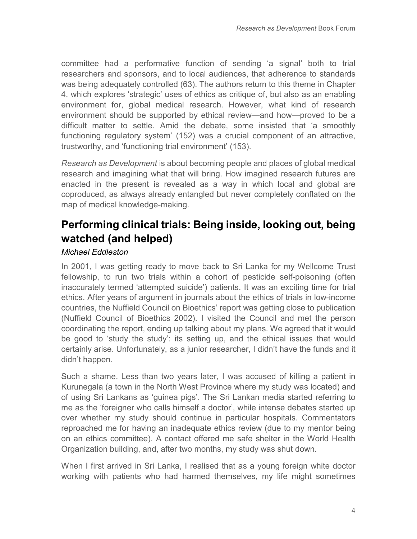committee had a performative function of sending 'a signal' both to trial researchers and sponsors, and to local audiences, that adherence to standards was being adequately controlled (63). The authors return to this theme in Chapter 4, which explores 'strategic' uses of ethics as critique of, but also as an enabling environment for, global medical research. However, what kind of research environment should be supported by ethical review—and how—proved to be a difficult matter to settle. Amid the debate, some insisted that 'a smoothly functioning regulatory system' (152) was a crucial component of an attractive, trustworthy, and 'functioning trial environment' (153).

*Research as Development* is about becoming people and places of global medical research and imagining what that will bring. How imagined research futures are enacted in the present is revealed as a way in which local and global are coproduced, as always already entangled but never completely conflated on the map of medical knowledge-making.

## **Performing clinical trials: Being inside, looking out, being watched (and helped)**

### *Michael Eddleston*

In 2001, I was getting ready to move back to Sri Lanka for my Wellcome Trust fellowship, to run two trials within a cohort of pesticide self-poisoning (often inaccurately termed 'attempted suicide') patients. It was an exciting time for trial ethics. After years of argument in journals about the ethics of trials in low-income countries, the Nuffield Council on Bioethics' report was getting close to publication (Nuffield Council of Bioethics 2002). I visited the Council and met the person coordinating the report, ending up talking about my plans. We agreed that it would be good to 'study the study': its setting up, and the ethical issues that would certainly arise. Unfortunately, as a junior researcher, I didn't have the funds and it didn't happen.

Such a shame. Less than two years later, I was accused of killing a patient in Kurunegala (a town in the North West Province where my study was located) and of using Sri Lankans as 'guinea pigs'. The Sri Lankan media started referring to me as the 'foreigner who calls himself a doctor', while intense debates started up over whether my study should continue in particular hospitals. Commentators reproached me for having an inadequate ethics review (due to my mentor being on an ethics committee). A contact offered me safe shelter in the World Health Organization building, and, after two months, my study was shut down.

When I first arrived in Sri Lanka, I realised that as a young foreign white doctor working with patients who had harmed themselves, my life might sometimes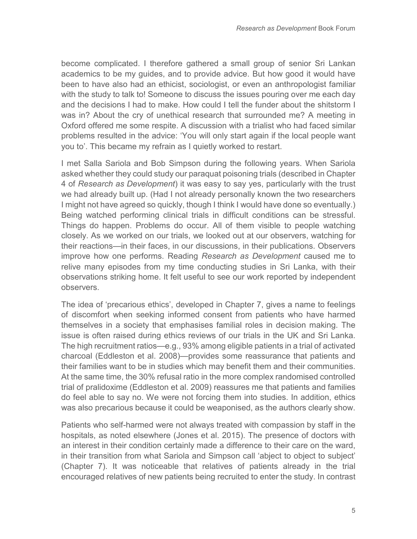become complicated. I therefore gathered a small group of senior Sri Lankan academics to be my guides, and to provide advice. But how good it would have been to have also had an ethicist, sociologist, or even an anthropologist familiar with the study to talk to! Someone to discuss the issues pouring over me each day and the decisions I had to make. How could I tell the funder about the shitstorm I was in? About the cry of unethical research that surrounded me? A meeting in Oxford offered me some respite. A discussion with a trialist who had faced similar problems resulted in the advice: 'You will only start again if the local people want you to'. This became my refrain as I quietly worked to restart.

I met Salla Sariola and Bob Simpson during the following years. When Sariola asked whether they could study our paraquat poisoning trials (described in Chapter 4 of *Research as Development*) it was easy to say yes, particularly with the trust we had already built up. (Had I not already personally known the two researchers I might not have agreed so quickly, though I think I would have done so eventually.) Being watched performing clinical trials in difficult conditions can be stressful. Things do happen. Problems do occur. All of them visible to people watching closely. As we worked on our trials, we looked out at our observers, watching for their reactions—in their faces, in our discussions, in their publications. Observers improve how one performs. Reading *Research as Development* caused me to relive many episodes from my time conducting studies in Sri Lanka, with their observations striking home. It felt useful to see our work reported by independent observers.

The idea of 'precarious ethics', developed in Chapter 7, gives a name to feelings of discomfort when seeking informed consent from patients who have harmed themselves in a society that emphasises familial roles in decision making. The issue is often raised during ethics reviews of our trials in the UK and Sri Lanka. The high recruitment ratios—e.g., 93% among eligible patients in a trial of activated charcoal (Eddleston et al. 2008)—provides some reassurance that patients and their families want to be in studies which may benefit them and their communities. At the same time, the 30% refusal ratio in the more complex randomised controlled trial of pralidoxime (Eddleston et al. 2009) reassures me that patients and families do feel able to say no. We were not forcing them into studies. In addition, ethics was also precarious because it could be weaponised, as the authors clearly show.

Patients who self-harmed were not always treated with compassion by staff in the hospitals, as noted elsewhere (Jones et al. 2015). The presence of doctors with an interest in their condition certainly made a difference to their care on the ward, in their transition from what Sariola and Simpson call 'abject to object to subject' (Chapter 7). It was noticeable that relatives of patients already in the trial encouraged relatives of new patients being recruited to enter the study. In contrast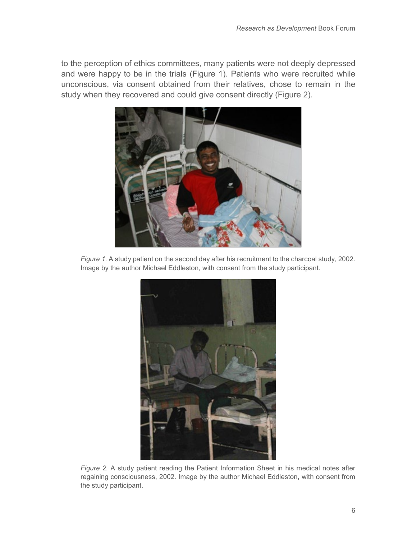to the perception of ethics committees, many patients were not deeply depressed and were happy to be in the trials (Figure 1). Patients who were recruited while unconscious, via consent obtained from their relatives, chose to remain in the study when they recovered and could give consent directly (Figure 2).



*Figure 1*. A study patient on the second day after his recruitment to the charcoal study, 2002. Image by the author Michael Eddleston, with consent from the study participant.



*Figure 2.* A study patient reading the Patient Information Sheet in his medical notes after regaining consciousness, 2002. Image by the author Michael Eddleston, with consent from the study participant.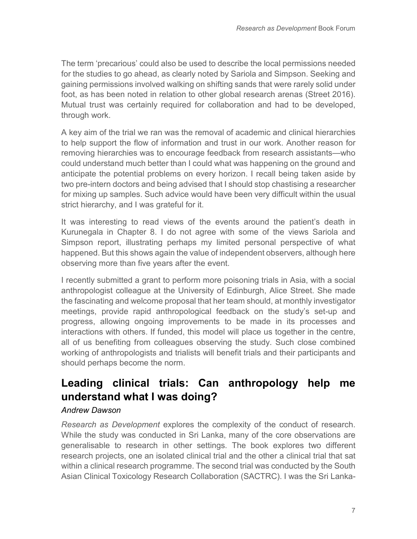The term 'precarious' could also be used to describe the local permissions needed for the studies to go ahead, as clearly noted by Sariola and Simpson. Seeking and gaining permissions involved walking on shifting sands that were rarely solid under foot, as has been noted in relation to other global research arenas (Street 2016). Mutual trust was certainly required for collaboration and had to be developed, through work.

A key aim of the trial we ran was the removal of academic and clinical hierarchies to help support the flow of information and trust in our work. Another reason for removing hierarchies was to encourage feedback from research assistants—who could understand much better than I could what was happening on the ground and anticipate the potential problems on every horizon. I recall being taken aside by two pre-intern doctors and being advised that I should stop chastising a researcher for mixing up samples. Such advice would have been very difficult within the usual strict hierarchy, and I was grateful for it.

It was interesting to read views of the events around the patient's death in Kurunegala in Chapter 8. I do not agree with some of the views Sariola and Simpson report, illustrating perhaps my limited personal perspective of what happened. But this shows again the value of independent observers, although here observing more than five years after the event.

I recently submitted a grant to perform more poisoning trials in Asia, with a social anthropologist colleague at the University of Edinburgh, Alice Street. She made the fascinating and welcome proposal that her team should, at monthly investigator meetings, provide rapid anthropological feedback on the study's set-up and progress, allowing ongoing improvements to be made in its processes and interactions with others. If funded, this model will place us together in the centre, all of us benefiting from colleagues observing the study. Such close combined working of anthropologists and trialists will benefit trials and their participants and should perhaps become the norm.

# **Leading clinical trials: Can anthropology help me understand what I was doing?**

### *Andrew Dawson*

*Research as Development* explores the complexity of the conduct of research. While the study was conducted in Sri Lanka, many of the core observations are generalisable to research in other settings. The book explores two different research projects, one an isolated clinical trial and the other a clinical trial that sat within a clinical research programme. The second trial was conducted by the South Asian Clinical Toxicology Research Collaboration (SACTRC). I was the Sri Lanka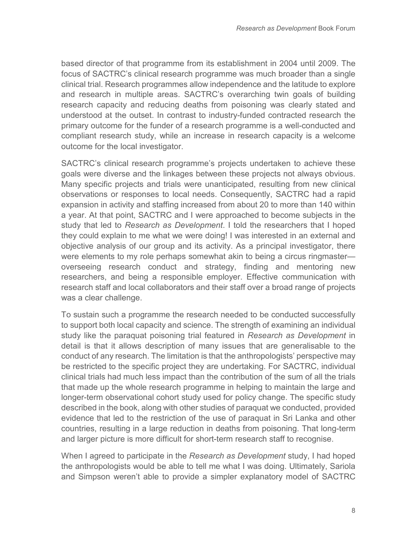based director of that programme from its establishment in 2004 until 2009. The focus of SACTRC's clinical research programme was much broader than a single clinical trial. Research programmes allow independence and the latitude to explore and research in multiple areas. SACTRC's overarching twin goals of building research capacity and reducing deaths from poisoning was clearly stated and understood at the outset. In contrast to industry-funded contracted research the primary outcome for the funder of a research programme is a well-conducted and compliant research study, while an increase in research capacity is a welcome outcome for the local investigator.

SACTRC's clinical research programme's projects undertaken to achieve these goals were diverse and the linkages between these projects not always obvious. Many specific projects and trials were unanticipated, resulting from new clinical observations or responses to local needs. Consequently, SACTRC had a rapid expansion in activity and staffing increased from about 20 to more than 140 within a year. At that point, SACTRC and I were approached to become subjects in the study that led to *Research as Development*. I told the researchers that I hoped they could explain to me what we were doing! I was interested in an external and objective analysis of our group and its activity. As a principal investigator, there were elements to my role perhaps somewhat akin to being a circus ringmaster overseeing research conduct and strategy, finding and mentoring new researchers, and being a responsible employer. Effective communication with research staff and local collaborators and their staff over a broad range of projects was a clear challenge.

To sustain such a programme the research needed to be conducted successfully to support both local capacity and science. The strength of examining an individual study like the paraquat poisoning trial featured in *Research as Development* in detail is that it allows description of many issues that are generalisable to the conduct of any research. The limitation is that the anthropologists' perspective may be restricted to the specific project they are undertaking. For SACTRC, individual clinical trials had much less impact than the contribution of the sum of all the trials that made up the whole research programme in helping to maintain the large and longer-term observational cohort study used for policy change. The specific study described in the book, along with other studies of paraquat we conducted, provided evidence that led to the restriction of the use of paraquat in Sri Lanka and other countries, resulting in a large reduction in deaths from poisoning. That long-term and larger picture is more difficult for short-term research staff to recognise.

When I agreed to participate in the *Research as Development* study, I had hoped the anthropologists would be able to tell me what I was doing. Ultimately, Sariola and Simpson weren't able to provide a simpler explanatory model of SACTRC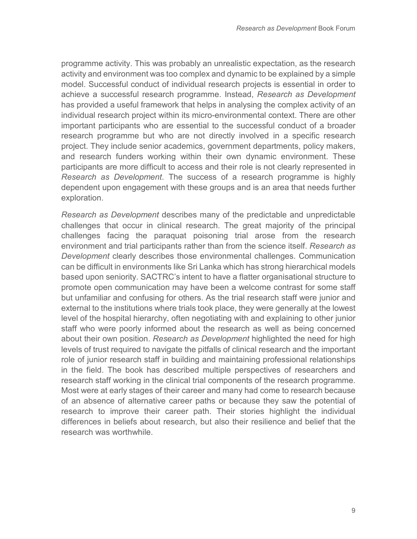programme activity. This was probably an unrealistic expectation, as the research activity and environment was too complex and dynamic to be explained by a simple model. Successful conduct of individual research projects is essential in order to achieve a successful research programme. Instead, *Research as Development* has provided a useful framework that helps in analysing the complex activity of an individual research project within its micro-environmental context. There are other important participants who are essential to the successful conduct of a broader research programme but who are not directly involved in a specific research project. They include senior academics, government departments, policy makers, and research funders working within their own dynamic environment. These participants are more difficult to access and their role is not clearly represented in *Research as Development*. The success of a research programme is highly dependent upon engagement with these groups and is an area that needs further exploration.

*Research as Development* describes many of the predictable and unpredictable challenges that occur in clinical research. The great majority of the principal challenges facing the paraquat poisoning trial arose from the research environment and trial participants rather than from the science itself. *Research as Development* clearly describes those environmental challenges. Communication can be difficult in environments like Sri Lanka which has strong hierarchical models based upon seniority. SACTRC's intent to have a flatter organisational structure to promote open communication may have been a welcome contrast for some staff but unfamiliar and confusing for others. As the trial research staff were junior and external to the institutions where trials took place, they were generally at the lowest level of the hospital hierarchy, often negotiating with and explaining to other junior staff who were poorly informed about the research as well as being concerned about their own position. *Research as Development* highlighted the need for high levels of trust required to navigate the pitfalls of clinical research and the important role of junior research staff in building and maintaining professional relationships in the field. The book has described multiple perspectives of researchers and research staff working in the clinical trial components of the research programme. Most were at early stages of their career and many had come to research because of an absence of alternative career paths or because they saw the potential of research to improve their career path. Their stories highlight the individual differences in beliefs about research, but also their resilience and belief that the research was worthwhile.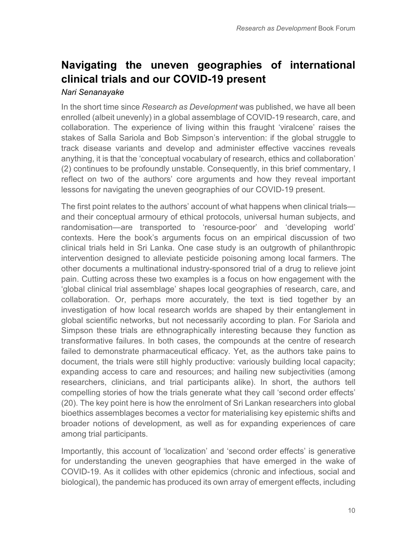# **Navigating the uneven geographies of international clinical trials and our COVID-19 present**

#### *Nari Senanayake*

In the short time since *Research as Development* was published, we have all been enrolled (albeit unevenly) in a global assemblage of COVID-19 research, care, and collaboration. The experience of living within this fraught 'viralcene' raises the stakes of Salla Sariola and Bob Simpson's intervention: if the global struggle to track disease variants and develop and administer effective vaccines reveals anything, it is that the 'conceptual vocabulary of research, ethics and collaboration' (2) continues to be profoundly unstable. Consequently, in this brief commentary, I reflect on two of the authors' core arguments and how they reveal important lessons for navigating the uneven geographies of our COVID-19 present.

The first point relates to the authors' account of what happens when clinical trials and their conceptual armoury of ethical protocols, universal human subjects, and randomisation—are transported to 'resource-poor' and 'developing world' contexts. Here the book's arguments focus on an empirical discussion of two clinical trials held in Sri Lanka. One case study is an outgrowth of philanthropic intervention designed to alleviate pesticide poisoning among local farmers. The other documents a multinational industry-sponsored trial of a drug to relieve joint pain. Cutting across these two examples is a focus on how engagement with the 'global clinical trial assemblage' shapes local geographies of research, care, and collaboration. Or, perhaps more accurately, the text is tied together by an investigation of how local research worlds are shaped by their entanglement in global scientific networks, but not necessarily according to plan. For Sariola and Simpson these trials are ethnographically interesting because they function as transformative failures. In both cases, the compounds at the centre of research failed to demonstrate pharmaceutical efficacy. Yet, as the authors take pains to document, the trials were still highly productive: variously building local capacity; expanding access to care and resources; and hailing new subjectivities (among researchers, clinicians, and trial participants alike). In short, the authors tell compelling stories of how the trials generate what they call 'second order effects' (20). The key point here is how the enrolment of Sri Lankan researchers into global bioethics assemblages becomes a vector for materialising key epistemic shifts and broader notions of development, as well as for expanding experiences of care among trial participants.

Importantly, this account of 'localization' and 'second order effects' is generative for understanding the uneven geographies that have emerged in the wake of COVID-19. As it collides with other epidemics (chronic and infectious, social and biological), the pandemic has produced its own array of emergent effects, including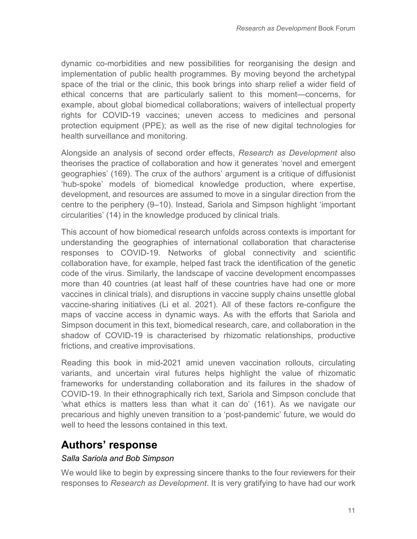dynamic co-morbidities and new possibilities for reorganising the design and implementation of public health programmes. By moving beyond the archetypal space of the trial or the clinic, this book brings into sharp relief a wider field of ethical concerns that are particularly salient to this moment—concerns, for example, about global biomedical collaborations; waivers of intellectual property rights for COVID-19 vaccines; uneven access to medicines and personal protection equipment (PPE); as well as the rise of new digital technologies for health surveillance and monitoring.

Alongside an analysis of second order effects, *Research as Development* also theorises the practice of collaboration and how it generates 'novel and emergent geographies' (169). The crux of the authors' argument is a critique of diffusionist 'hub-spoke' models of biomedical knowledge production, where expertise, development, and resources are assumed to move in a singular direction from the centre to the periphery (9–10). Instead, Sariola and Simpson highlight 'important circularities' (14) in the knowledge produced by clinical trials.

This account of how biomedical research unfolds across contexts is important for understanding the geographies of international collaboration that characterise responses to COVID-19. Networks of global connectivity and scientific collaboration have, for example, helped fast track the identification of the genetic code of the virus. Similarly, the landscape of vaccine development encompasses more than 40 countries (at least half of these countries have had one or more vaccines in clinical trials), and disruptions in vaccine supply chains unsettle global vaccine-sharing initiatives (Li et al. 2021). All of these factors re-configure the maps of vaccine access in dynamic ways. As with the efforts that Sariola and Simpson document in this text, biomedical research, care, and collaboration in the shadow of COVID-19 is characterised by rhizomatic relationships, productive frictions, and creative improvisations.

Reading this book in mid-2021 amid uneven vaccination rollouts, circulating variants, and uncertain viral futures helps highlight the value of rhizomatic frameworks for understanding collaboration and its failures in the shadow of COVID-19. In their ethnographically rich text, Sariola and Simpson conclude that 'what ethics is matters less than what it can do' (161). As we navigate our precarious and highly uneven transition to a 'post-pandemic' future, we would do well to heed the lessons contained in this text.

### **Authors' response**

#### *Salla Sariola and Bob Simpson*

We would like to begin by expressing sincere thanks to the four reviewers for their responses to *Research as Development*. It is very gratifying to have had our work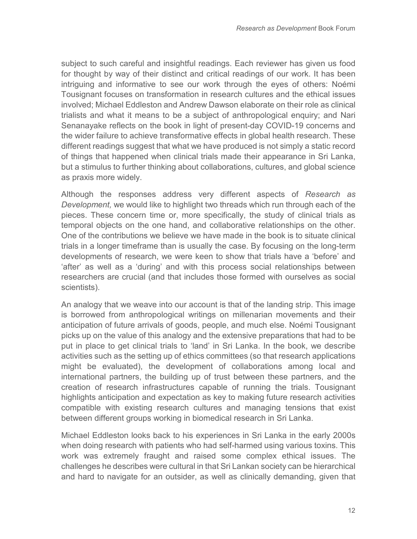subject to such careful and insightful readings. Each reviewer has given us food for thought by way of their distinct and critical readings of our work. It has been intriguing and informative to see our work through the eyes of others: Noémi Tousignant focuses on transformation in research cultures and the ethical issues involved; Michael Eddleston and Andrew Dawson elaborate on their role as clinical trialists and what it means to be a subject of anthropological enquiry; and Nari Senanayake reflects on the book in light of present-day COVID-19 concerns and the wider failure to achieve transformative effects in global health research. These different readings suggest that what we have produced is not simply a static record of things that happened when clinical trials made their appearance in Sri Lanka, but a stimulus to further thinking about collaborations, cultures, and global science as praxis more widely.

Although the responses address very different aspects of *Research as Development,* we would like to highlight two threads which run through each of the pieces. These concern time or, more specifically, the study of clinical trials as temporal objects on the one hand, and collaborative relationships on the other. One of the contributions we believe we have made in the book is to situate clinical trials in a longer timeframe than is usually the case. By focusing on the long-term developments of research, we were keen to show that trials have a 'before' and 'after' as well as a 'during' and with this process social relationships between researchers are crucial (and that includes those formed with ourselves as social scientists).

An analogy that we weave into our account is that of the landing strip. This image is borrowed from anthropological writings on millenarian movements and their anticipation of future arrivals of goods, people, and much else. Noémi Tousignant picks up on the value of this analogy and the extensive preparations that had to be put in place to get clinical trials to 'land' in Sri Lanka. In the book, we describe activities such as the setting up of ethics committees (so that research applications might be evaluated), the development of collaborations among local and international partners, the building up of trust between these partners, and the creation of research infrastructures capable of running the trials. Tousignant highlights anticipation and expectation as key to making future research activities compatible with existing research cultures and managing tensions that exist between different groups working in biomedical research in Sri Lanka.

Michael Eddleston looks back to his experiences in Sri Lanka in the early 2000s when doing research with patients who had self-harmed using various toxins. This work was extremely fraught and raised some complex ethical issues. The challenges he describes were cultural in that Sri Lankan society can be hierarchical and hard to navigate for an outsider, as well as clinically demanding, given that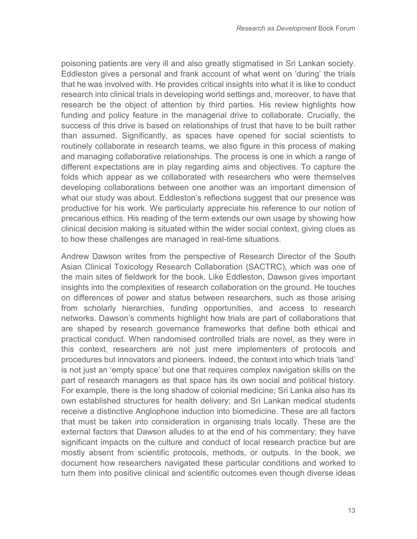poisoning patients are very ill and also greatly stigmatised in Sri Lankan society. Eddleston gives a personal and frank account of what went on 'during' the trials that he was involved with. He provides critical insights into what it is like to conduct research into clinical trials in developing world settings and, moreover, to have that research be the object of attention by third parties. His review highlights how funding and policy feature in the managerial drive to collaborate. Crucially, the success of this drive is based on relationships of trust that have to be built rather than assumed. Significantly, as spaces have opened for social scientists to routinely collaborate in research teams, we also figure in this process of making and managing collaborative relationships. The process is one in which a range of different expectations are in play regarding aims and objectives. To capture the folds which appear as we collaborated with researchers who were themselves developing collaborations between one another was an important dimension of what our study was about. Eddleston's reflections suggest that our presence was productive for his work. We particularly appreciate his reference to our notion of precarious ethics. His reading of the term extends our own usage by showing how clinical decision making is situated within the wider social context, giving clues as to how these challenges are managed in real-time situations.

Andrew Dawson writes from the perspective of Research Director of the South Asian Clinical Toxicology Research Collaboration (SACTRC), which was one of the main sites of fieldwork for the book. Like Eddleston, Dawson gives important insights into the complexities of research collaboration on the ground. He touches on differences of power and status between researchers, such as those arising from scholarly hierarchies, funding opportunities, and access to research networks. Dawson's comments highlight how trials are part of collaborations that are shaped by research governance frameworks that define both ethical and practical conduct. When randomised controlled trials are novel, as they were in this context, researchers are not just mere implementers of protocols and procedures but innovators and pioneers. Indeed, the context into which trials 'land' is not just an 'empty space' but one that requires complex navigation skills on the part of research managers as that space has its own social and political history. For example, there is the long shadow of colonial medicine; Sri Lanka also has its own established structures for health delivery; and Sri Lankan medical students receive a distinctive Anglophone induction into biomedicine. These are all factors that must be taken into consideration in organising trials locally. These are the external factors that Dawson alludes to at the end of his commentary; they have significant impacts on the culture and conduct of local research practice but are mostly absent from scientific protocols, methods, or outputs. In the book, we document how researchers navigated these particular conditions and worked to turn them into positive clinical and scientific outcomes even though diverse ideas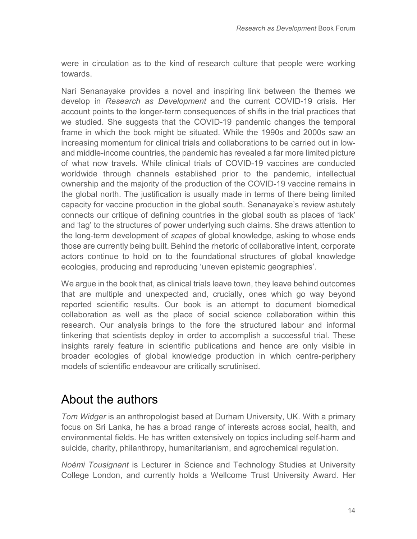were in circulation as to the kind of research culture that people were working towards.

Nari Senanayake provides a novel and inspiring link between the themes we develop in *Research as Development* and the current COVID-19 crisis. Her account points to the longer-term consequences of shifts in the trial practices that we studied. She suggests that the COVID-19 pandemic changes the temporal frame in which the book might be situated. While the 1990s and 2000s saw an increasing momentum for clinical trials and collaborations to be carried out in lowand middle-income countries, the pandemic has revealed a far more limited picture of what now travels. While clinical trials of COVID-19 vaccines are conducted worldwide through channels established prior to the pandemic, intellectual ownership and the majority of the production of the COVID-19 vaccine remains in the global north. The justification is usually made in terms of there being limited capacity for vaccine production in the global south. Senanayake's review astutely connects our critique of defining countries in the global south as places of 'lack' and 'lag' to the structures of power underlying such claims. She draws attention to the long-term development of *scapes* of global knowledge, asking to whose ends those are currently being built. Behind the rhetoric of collaborative intent, corporate actors continue to hold on to the foundational structures of global knowledge ecologies, producing and reproducing 'uneven epistemic geographies'.

We argue in the book that, as clinical trials leave town, they leave behind outcomes that are multiple and unexpected and, crucially, ones which go way beyond reported scientific results. Our book is an attempt to document biomedical collaboration as well as the place of social science collaboration within this research. Our analysis brings to the fore the structured labour and informal tinkering that scientists deploy in order to accomplish a successful trial. These insights rarely feature in scientific publications and hence are only visible in broader ecologies of global knowledge production in which centre-periphery models of scientific endeavour are critically scrutinised.

# About the authors

*Tom Widger* is an anthropologist based at Durham University, UK. With a primary focus on Sri Lanka, he has a broad range of interests across social, health, and environmental fields. He has written extensively on topics including self-harm and suicide, charity, philanthropy, humanitarianism, and agrochemical regulation.

*Noémi Tousignant* is Lecturer in Science and Technology Studies at University College London, and currently holds a Wellcome Trust University Award. Her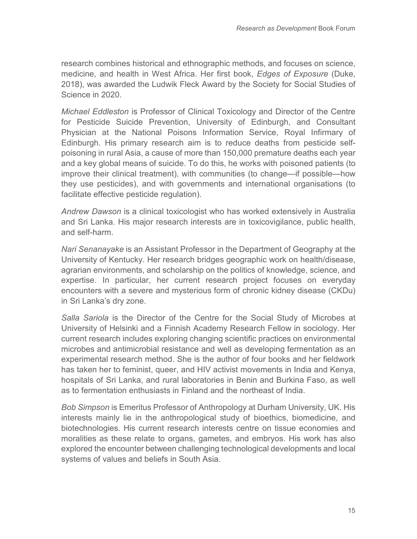research combines historical and ethnographic methods, and focuses on science, medicine, and health in West Africa. Her first book, *Edges of Exposure* (Duke, 2018), was awarded the Ludwik Fleck Award by the Society for Social Studies of Science in 2020.

*Michael Eddleston* is Professor of Clinical Toxicology and Director of the Centre for Pesticide Suicide Prevention, University of Edinburgh, and Consultant Physician at the National Poisons Information Service, Royal Infirmary of Edinburgh. His primary research aim is to reduce deaths from pesticide selfpoisoning in rural Asia, a cause of more than 150,000 premature deaths each year and a key global means of suicide. To do this, he works with poisoned patients (to improve their clinical treatment), with communities (to change—if possible—how they use pesticides), and with governments and international organisations (to facilitate effective pesticide regulation).

*Andrew Dawson* is a clinical toxicologist who has worked extensively in Australia and Sri Lanka. His major research interests are in toxicovigilance, public health, and self-harm.

*Nari Senanayake* is an Assistant Professor in the Department of Geography at the University of Kentucky. Her research bridges geographic work on health/disease, agrarian environments, and scholarship on the politics of knowledge, science, and expertise. In particular, her current research project focuses on everyday encounters with a severe and mysterious form of chronic kidney disease (CKDu) in Sri Lanka's dry zone.

*Salla Sariola* is the Director of the Centre for the Social Study of Microbes at University of Helsinki and a Finnish Academy Research Fellow in sociology. Her current research includes exploring changing scientific practices on environmental microbes and antimicrobial resistance and well as developing fermentation as an experimental research method. She is the author of four books and her fieldwork has taken her to feminist, queer, and HIV activist movements in India and Kenya, hospitals of Sri Lanka, and rural laboratories in Benin and Burkina Faso, as well as to fermentation enthusiasts in Finland and the northeast of India.

*Bob Simpson* is Emeritus Professor of Anthropology at Durham University, UK. His interests mainly lie in the anthropological study of bioethics, biomedicine, and biotechnologies. His current research interests centre on tissue economies and moralities as these relate to organs, gametes, and embryos. His work has also explored the encounter between challenging technological developments and local systems of values and beliefs in South Asia.